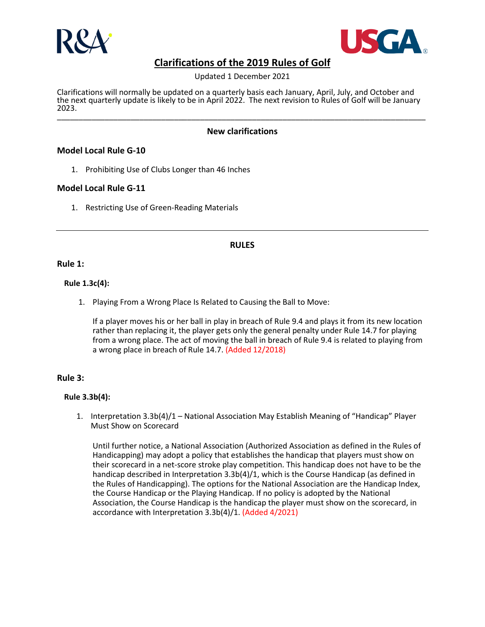



Updated 1 December 2021

Clarifications will normally be updated on a quarterly basis each January, April, July, and October and the next quarterly update is likely to be in April 2022. The next revision to Rules of Golf will be January<br>2023. 2023. \_\_\_\_\_\_\_\_\_\_\_\_\_\_\_\_\_\_\_\_\_\_\_\_\_\_\_\_\_\_\_\_\_\_\_\_\_\_\_\_\_\_\_\_\_\_\_\_\_\_\_\_\_\_\_\_\_\_\_\_\_\_\_\_\_\_\_\_\_\_\_\_\_\_\_\_\_\_\_\_\_\_\_\_\_

## **New clarifications**

## **Model Local Rule G-10**

1. Prohibiting Use of Clubs Longer than 46 Inches

## **Model Local Rule G-11**

1. Restricting Use of Green-Reading Materials

### **RULES**

#### **Rule 1:**

### **Rule 1.3c(4):**

1. Playing From a Wrong Place Is Related to Causing the Ball to Move:

If a player moves his or her ball in play in breach of Rule 9.4 and plays it from its new location rather than replacing it, the player gets only the general penalty under Rule 14.7 for playing from a wrong place. The act of moving the ball in breach of Rule 9.4 is related to playing from a wrong place in breach of Rule 14.7. (Added 12/2018)

#### **Rule 3:**

#### **Rule 3.3b(4):**

1. Interpretation 3.3b(4)/1 – National Association May Establish Meaning of "Handicap" Player Must Show on Scorecard

Until further notice, a National Association (Authorized Association as defined in the Rules of Handicapping) may adopt a policy that establishes the handicap that players must show on their scorecard in a net-score stroke play competition. This handicap does not have to be the handicap described in Interpretation 3.3b(4)/1, which is the Course Handicap (as defined in the Rules of Handicapping). The options for the National Association are the Handicap Index, the Course Handicap or the Playing Handicap. If no policy is adopted by the National Association, the Course Handicap is the handicap the player must show on the scorecard, in accordance with Interpretation 3.3b(4)/1. (Added 4/2021)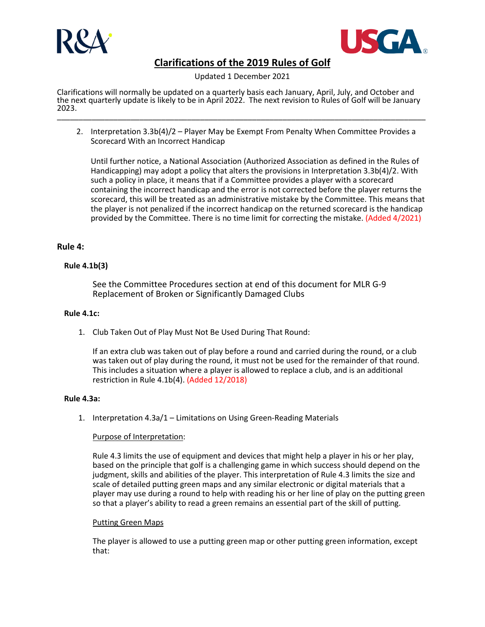



Updated 1 December 2021

Clarifications will normally be updated on a quarterly basis each January, April, July, and October and the next quarterly update is likely to be in April 2022. The next revision to Rules of Golf will be January<br>2023. 2023. \_\_\_\_\_\_\_\_\_\_\_\_\_\_\_\_\_\_\_\_\_\_\_\_\_\_\_\_\_\_\_\_\_\_\_\_\_\_\_\_\_\_\_\_\_\_\_\_\_\_\_\_\_\_\_\_\_\_\_\_\_\_\_\_\_\_\_\_\_\_\_\_\_\_\_\_\_\_\_\_\_\_\_\_\_

2. Interpretation 3.3b(4)/2 – Player May be Exempt From Penalty When Committee Provides a Scorecard With an Incorrect Handicap

Until further notice, a National Association (Authorized Association as defined in the Rules of Handicapping) may adopt a policy that alters the provisions in Interpretation 3.3b(4)/2. With such a policy in place, it means that if a Committee provides a player with a scorecard containing the incorrect handicap and the error is not corrected before the player returns the scorecard, this will be treated as an administrative mistake by the Committee. This means that the player is not penalized if the incorrect handicap on the returned scorecard is the handicap provided by the Committee. There is no time limit for correcting the mistake. (Added 4/2021)

## **Rule 4:**

## **Rule 4.1b(3)**

See the Committee Procedures section at end of this document for MLR G-9 Replacement of Broken or Significantly Damaged Clubs

### **Rule 4.1c:**

1. Club Taken Out of Play Must Not Be Used During That Round:

If an extra club was taken out of play before a round and carried during the round, or a club was taken out of play during the round, it must not be used for the remainder of that round. This includes a situation where a player is allowed to replace a club, and is an additional restriction in Rule 4.1b(4). (Added 12/2018)

## **Rule 4.3a:**

1. Interpretation 4.3a/1 – Limitations on Using Green-Reading Materials

## Purpose of Interpretation:

Rule 4.3 limits the use of equipment and devices that might help a player in his or her play, based on the principle that golf is a challenging game in which success should depend on the judgment, skills and abilities of the player. This interpretation of Rule 4.3 limits the size and scale of detailed putting green maps and any similar electronic or digital materials that a player may use during a round to help with reading his or her line of play on the putting green so that a player's ability to read a green remains an essential part of the skill of putting.

#### Putting Green Maps

The player is allowed to use a putting green map or other putting green information, except that: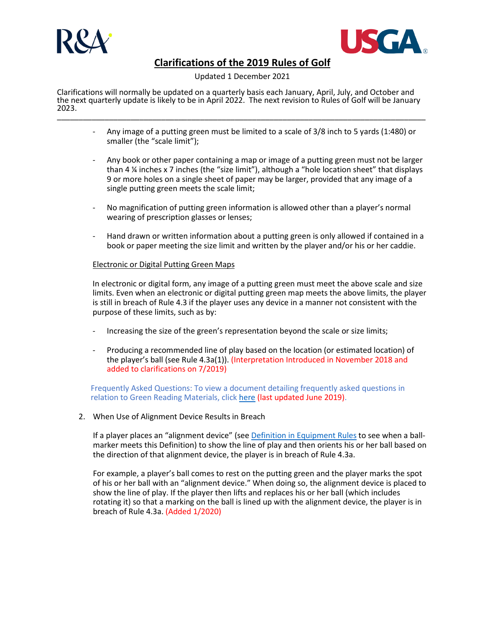



#### Updated 1 December 2021

Clarifications will normally be updated on a quarterly basis each January, April, July, and October and the next quarterly update is likely to be in April 2022. The next revision to Rules of Golf will be January<br>2023. 2023. \_\_\_\_\_\_\_\_\_\_\_\_\_\_\_\_\_\_\_\_\_\_\_\_\_\_\_\_\_\_\_\_\_\_\_\_\_\_\_\_\_\_\_\_\_\_\_\_\_\_\_\_\_\_\_\_\_\_\_\_\_\_\_\_\_\_\_\_\_\_\_\_\_\_\_\_\_\_\_\_\_\_\_\_\_

- Any image of a putting green must be limited to a scale of 3/8 inch to 5 yards (1:480) or smaller (the "scale limit");
- Any book or other paper containing a map or image of a putting green must not be larger than 4  $\frac{1}{4}$  inches x 7 inches (the "size limit"), although a "hole location sheet" that displays 9 or more holes on a single sheet of paper may be larger, provided that any image of a single putting green meets the scale limit;
- No magnification of putting green information is allowed other than a player's normal wearing of prescription glasses or lenses;
- Hand drawn or written information about a putting green is only allowed if contained in a book or paper meeting the size limit and written by the player and/or his or her caddie.

### Electronic or Digital Putting Green Maps

In electronic or digital form, any image of a putting green must meet the above scale and size limits. Even when an electronic or digital putting green map meets the above limits, the player is still in breach of Rule 4.3 if the player uses any device in a manner not consistent with the purpose of these limits, such as by:

- Increasing the size of the green's representation beyond the scale or size limits;
- Producing a recommended line of play based on the location (or estimated location) of the player's ball (see Rule 4.3a(1)). (Interpretation Introduced in November 2018 and added to clarifications on 7/2019)

Frequently Asked Questions: To view a document detailing frequently asked questions in relation to Green Reading Materials, clic[k here](https://www.randa.org/%7E/media/rules-modernization/resources-center/files/grm-faqs-june-2019.ashx) (last updated June 2019).

2. When Use of Alignment Device Results in Breach

If a player places an "alignment device" (see [Definition in Equipment Rules](https://www.randa.org/en/rules-of-equipment/2019/rules/equipment-rules/part-6-devices-and-other-equipment#67-definition-of-alignment-device-and-treatment-of-ball-markers) to see when a ballmarker meets this Definition) to show the line of play and then orients his or her ball based on the direction of that alignment device, the player is in breach of Rule 4.3a.

For example, a player's ball comes to rest on the putting green and the player marks the spot of his or her ball with an "alignment device." When doing so, the alignment device is placed to show the line of play. If the player then lifts and replaces his or her ball (which includes rotating it) so that a marking on the ball is lined up with the alignment device, the player is in breach of Rule 4.3a. (Added 1/2020)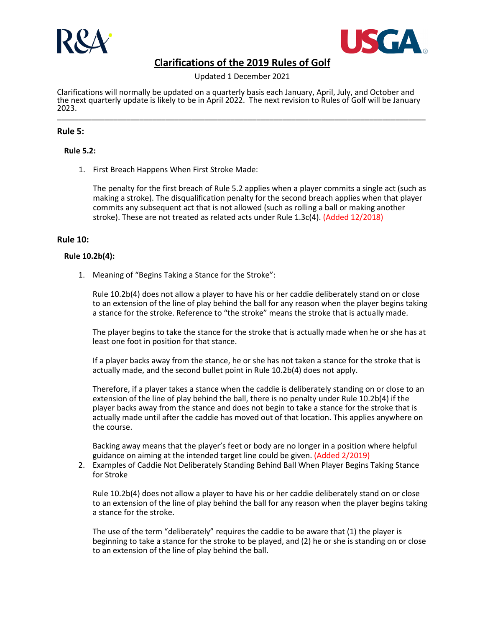



Updated 1 December 2021

Clarifications will normally be updated on a quarterly basis each January, April, July, and October and the next quarterly update is likely to be in April 2022. The next revision to Rules of Golf will be January<br>2023. 2023. \_\_\_\_\_\_\_\_\_\_\_\_\_\_\_\_\_\_\_\_\_\_\_\_\_\_\_\_\_\_\_\_\_\_\_\_\_\_\_\_\_\_\_\_\_\_\_\_\_\_\_\_\_\_\_\_\_\_\_\_\_\_\_\_\_\_\_\_\_\_\_\_\_\_\_\_\_\_\_\_\_\_\_\_\_

### **Rule 5:**

### **Rule 5.2:**

1. First Breach Happens When First Stroke Made:

The penalty for the first breach of Rule 5.2 applies when a player commits a single act (such as making a stroke). The disqualification penalty for the second breach applies when that player commits any subsequent act that is not allowed (such as rolling a ball or making another stroke). These are not treated as related acts under Rule 1.3c(4). (Added 12/2018)

### **Rule 10:**

#### **Rule 10.2b(4):**

1. Meaning of "Begins Taking a Stance for the Stroke":

Rule 10.2b(4) does not allow a player to have his or her caddie deliberately stand on or close to an extension of the line of play behind the ball for any reason when the player begins taking a stance for the stroke. Reference to "the stroke" means the stroke that is actually made.

The player begins to take the stance for the stroke that is actually made when he or she has at least one foot in position for that stance.

If a player backs away from the stance, he or she has not taken a stance for the stroke that is actually made, and the second bullet point in Rule 10.2b(4) does not apply.

Therefore, if a player takes a stance when the caddie is deliberately standing on or close to an extension of the line of play behind the ball, there is no penalty under Rule 10.2b(4) if the player backs away from the stance and does not begin to take a stance for the stroke that is actually made until after the caddie has moved out of that location. This applies anywhere on the course.

Backing away means that the player's feet or body are no longer in a position where helpful guidance on aiming at the intended target line could be given. (Added 2/2019)

2. Examples of Caddie Not Deliberately Standing Behind Ball When Player Begins Taking Stance for Stroke

Rule 10.2b(4) does not allow a player to have his or her caddie deliberately stand on or close to an extension of the line of play behind the ball for any reason when the player begins taking a stance for the stroke.

The use of the term "deliberately" requires the caddie to be aware that (1) the player is beginning to take a stance for the stroke to be played, and (2) he or she is standing on or close to an extension of the line of play behind the ball.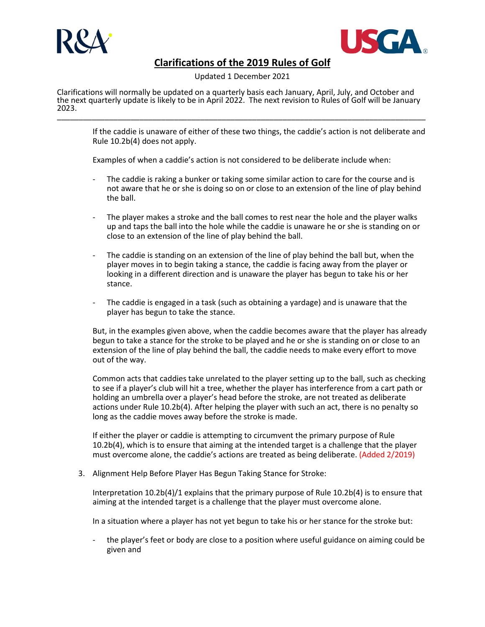



Updated 1 December 2021

Clarifications will normally be updated on a quarterly basis each January, April, July, and October and the next quarterly update is likely to be in April 2022. The next revision to Rules of Golf will be January<br>2023. 2023. \_\_\_\_\_\_\_\_\_\_\_\_\_\_\_\_\_\_\_\_\_\_\_\_\_\_\_\_\_\_\_\_\_\_\_\_\_\_\_\_\_\_\_\_\_\_\_\_\_\_\_\_\_\_\_\_\_\_\_\_\_\_\_\_\_\_\_\_\_\_\_\_\_\_\_\_\_\_\_\_\_\_\_\_\_

If the caddie is unaware of either of these two things, the caddie's action is not deliberate and Rule 10.2b(4) does not apply.

Examples of when a caddie's action is not considered to be deliberate include when:

- The caddie is raking a bunker or taking some similar action to care for the course and is not aware that he or she is doing so on or close to an extension of the line of play behind the ball.
- The player makes a stroke and the ball comes to rest near the hole and the player walks up and taps the ball into the hole while the caddie is unaware he or she is standing on or close to an extension of the line of play behind the ball.
- The caddie is standing on an extension of the line of play behind the ball but, when the player moves in to begin taking a stance, the caddie is facing away from the player or looking in a different direction and is unaware the player has begun to take his or her stance.
- The caddie is engaged in a task (such as obtaining a yardage) and is unaware that the player has begun to take the stance.

But, in the examples given above, when the caddie becomes aware that the player has already begun to take a stance for the stroke to be played and he or she is standing on or close to an extension of the line of play behind the ball, the caddie needs to make every effort to move out of the way.

Common acts that caddies take unrelated to the player setting up to the ball, such as checking to see if a player's club will hit a tree, whether the player has interference from a cart path or holding an umbrella over a player's head before the stroke, are not treated as deliberate actions under Rule 10.2b(4). After helping the player with such an act, there is no penalty so long as the caddie moves away before the stroke is made.

If either the player or caddie is attempting to circumvent the primary purpose of Rule 10.2b(4), which is to ensure that aiming at the intended target is a challenge that the player must overcome alone, the caddie's actions are treated as being deliberate. (Added 2/2019)

3. Alignment Help Before Player Has Begun Taking Stance for Stroke:

Interpretation 10.2b(4)/1 explains that the primary purpose of Rule 10.2b(4) is to ensure that aiming at the intended target is a challenge that the player must overcome alone.

In a situation where a player has not yet begun to take his or her stance for the stroke but:

- the player's feet or body are close to a position where useful guidance on aiming could be given and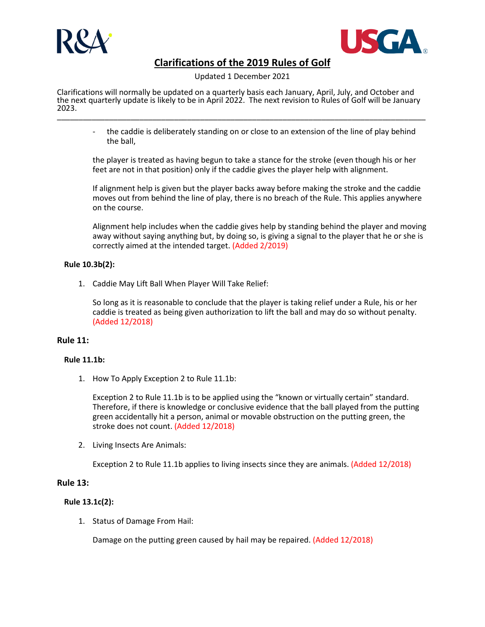



Updated 1 December 2021

Clarifications will normally be updated on a quarterly basis each January, April, July, and October and the next quarterly update is likely to be in April 2022. The next revision to Rules of Golf will be January<br>2023. 2023. \_\_\_\_\_\_\_\_\_\_\_\_\_\_\_\_\_\_\_\_\_\_\_\_\_\_\_\_\_\_\_\_\_\_\_\_\_\_\_\_\_\_\_\_\_\_\_\_\_\_\_\_\_\_\_\_\_\_\_\_\_\_\_\_\_\_\_\_\_\_\_\_\_\_\_\_\_\_\_\_\_\_\_\_\_

the caddie is deliberately standing on or close to an extension of the line of play behind the ball,

the player is treated as having begun to take a stance for the stroke (even though his or her feet are not in that position) only if the caddie gives the player help with alignment.

If alignment help is given but the player backs away before making the stroke and the caddie moves out from behind the line of play, there is no breach of the Rule. This applies anywhere on the course.

Alignment help includes when the caddie gives help by standing behind the player and moving away without saying anything but, by doing so, is giving a signal to the player that he or she is correctly aimed at the intended target. (Added 2/2019)

### **Rule 10.3b(2):**

1. Caddie May Lift Ball When Player Will Take Relief:

So long as it is reasonable to conclude that the player is taking relief under a Rule, his or her caddie is treated as being given authorization to lift the ball and may do so without penalty. (Added 12/2018)

## **Rule 11:**

#### **Rule 11.1b:**

1. How To Apply Exception 2 to Rule 11.1b:

Exception 2 to Rule 11.1b is to be applied using the "known or virtually certain" standard. Therefore, if there is knowledge or conclusive evidence that the ball played from the putting green accidentally hit a person, animal or movable obstruction on the putting green, the stroke does not count. (Added 12/2018)

2. Living Insects Are Animals:

Exception 2 to Rule 11.1b applies to living insects since they are animals. (Added 12/2018)

## **Rule 13:**

## **Rule 13.1c(2):**

1. Status of Damage From Hail:

Damage on the putting green caused by hail may be repaired. (Added 12/2018)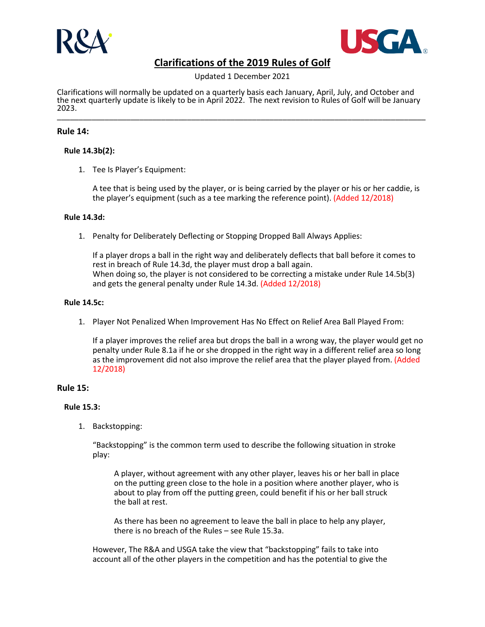



Updated 1 December 2021

Clarifications will normally be updated on a quarterly basis each January, April, July, and October and the next quarterly update is likely to be in April 2022. The next revision to Rules of Golf will be January<br>2023. 2023. \_\_\_\_\_\_\_\_\_\_\_\_\_\_\_\_\_\_\_\_\_\_\_\_\_\_\_\_\_\_\_\_\_\_\_\_\_\_\_\_\_\_\_\_\_\_\_\_\_\_\_\_\_\_\_\_\_\_\_\_\_\_\_\_\_\_\_\_\_\_\_\_\_\_\_\_\_\_\_\_\_\_\_\_\_

## **Rule 14:**

### **Rule 14.3b(2):**

1. Tee Is Player's Equipment:

A tee that is being used by the player, or is being carried by the player or his or her caddie, is the player's equipment (such as a tee marking the reference point). (Added 12/2018)

#### **Rule 14.3d:**

1. Penalty for Deliberately Deflecting or Stopping Dropped Ball Always Applies:

If a player drops a ball in the right way and deliberately deflects that ball before it comes to rest in breach of Rule 14.3d, the player must drop a ball again. When doing so, the player is not considered to be correcting a mistake under Rule 14.5b(3) and gets the general penalty under Rule 14.3d. (Added 12/2018)

#### **Rule 14.5c:**

1. Player Not Penalized When Improvement Has No Effect on Relief Area Ball Played From:

If a player improves the relief area but drops the ball in a wrong way, the player would get no penalty under Rule 8.1a if he or she dropped in the right way in a different relief area so long as the improvement did not also improve the relief area that the player played from. (Added 12/2018)

### **Rule 15:**

#### **Rule 15.3:**

1. Backstopping:

"Backstopping" is the common term used to describe the following situation in stroke play:

A player, without agreement with any other player, leaves his or her ball in place on the putting green close to the hole in a position where another player, who is about to play from off the putting green, could benefit if his or her ball struck the ball at rest.

As there has been no agreement to leave the ball in place to help any player, there is no breach of the Rules – see Rule 15.3a.

However, The R&A and USGA take the view that "backstopping" fails to take into account all of the other players in the competition and has the potential to give the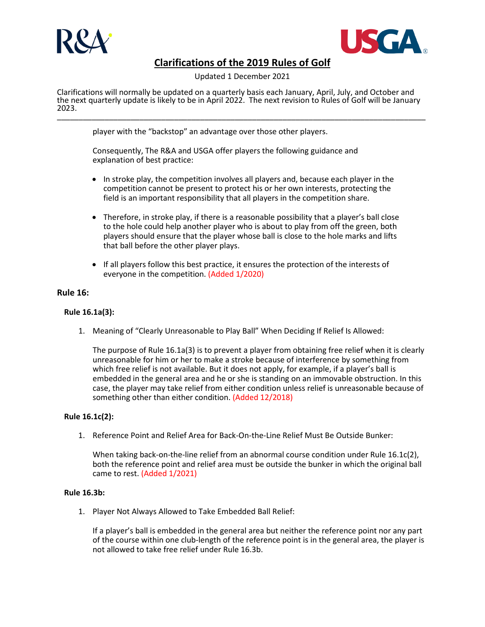



Updated 1 December 2021

Clarifications will normally be updated on a quarterly basis each January, April, July, and October and the next quarterly update is likely to be in April 2022. The next revision to Rules of Golf will be January<br>2023. 2023. \_\_\_\_\_\_\_\_\_\_\_\_\_\_\_\_\_\_\_\_\_\_\_\_\_\_\_\_\_\_\_\_\_\_\_\_\_\_\_\_\_\_\_\_\_\_\_\_\_\_\_\_\_\_\_\_\_\_\_\_\_\_\_\_\_\_\_\_\_\_\_\_\_\_\_\_\_\_\_\_\_\_\_\_\_

player with the "backstop" an advantage over those other players.

Consequently, The R&A and USGA offer players the following guidance and explanation of best practice:

- In stroke play, the competition involves all players and, because each player in the competition cannot be present to protect his or her own interests, protecting the field is an important responsibility that all players in the competition share.
- Therefore, in stroke play, if there is a reasonable possibility that a player's ball close to the hole could help another player who is about to play from off the green, both players should ensure that the player whose ball is close to the hole marks and lifts that ball before the other player plays.
- If all players follow this best practice, it ensures the protection of the interests of everyone in the competition. (Added 1/2020)

## **Rule 16:**

### **Rule 16.1a(3):**

1. Meaning of "Clearly Unreasonable to Play Ball" When Deciding If Relief Is Allowed:

The purpose of Rule 16.1a(3) is to prevent a player from obtaining free relief when it is clearly unreasonable for him or her to make a stroke because of interference by something from which free relief is not available. But it does not apply, for example, if a player's ball is embedded in the general area and he or she is standing on an immovable obstruction. In this case, the player may take relief from either condition unless relief is unreasonable because of something other than either condition. (Added 12/2018)

### **Rule 16.1c(2):**

1. Reference Point and Relief Area for Back-On-the-Line Relief Must Be Outside Bunker:

When taking back-on-the-line relief from an abnormal course condition under Rule 16.1c(2), both the reference point and relief area must be outside the bunker in which the original ball came to rest. (Added 1/2021)

### **Rule 16.3b:**

1. Player Not Always Allowed to Take Embedded Ball Relief:

If a player's ball is embedded in the general area but neither the reference point nor any part of the course within one club-length of the reference point is in the general area, the player is not allowed to take free relief under Rule 16.3b.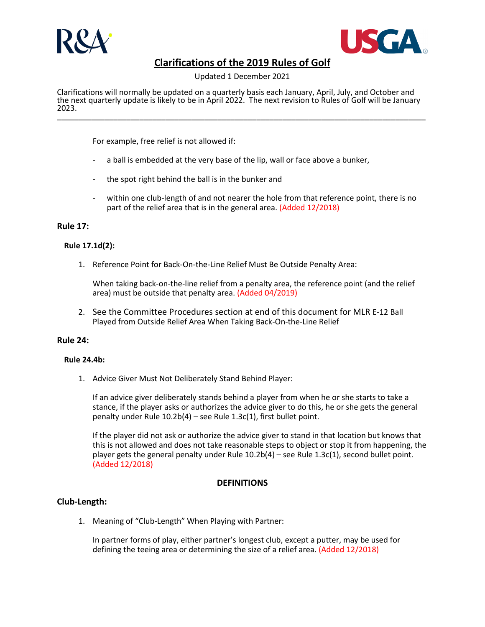



Updated 1 December 2021

Clarifications will normally be updated on a quarterly basis each January, April, July, and October and the next quarterly update is likely to be in April 2022. The next revision to Rules of Golf will be January<br>2023. 2023. \_\_\_\_\_\_\_\_\_\_\_\_\_\_\_\_\_\_\_\_\_\_\_\_\_\_\_\_\_\_\_\_\_\_\_\_\_\_\_\_\_\_\_\_\_\_\_\_\_\_\_\_\_\_\_\_\_\_\_\_\_\_\_\_\_\_\_\_\_\_\_\_\_\_\_\_\_\_\_\_\_\_\_\_\_

For example, free relief is not allowed if:

- a ball is embedded at the very base of the lip, wall or face above a bunker,
- the spot right behind the ball is in the bunker and
- within one club-length of and not nearer the hole from that reference point, there is no part of the relief area that is in the general area. (Added 12/2018)

### **Rule 17:**

### **Rule 17.1d(2):**

1. Reference Point for Back-On-the-Line Relief Must Be Outside Penalty Area:

When taking back-on-the-line relief from a penalty area, the reference point (and the relief area) must be outside that penalty area. (Added 04/2019)

2. See the Committee Procedures section at end of this document for MLR E-12 Ball Played from Outside Relief Area When Taking Back-On-the-Line Relief

#### **Rule 24:**

#### **Rule 24.4b:**

1. Advice Giver Must Not Deliberately Stand Behind Player:

If an advice giver deliberately stands behind a player from when he or she starts to take a stance, if the player asks or authorizes the advice giver to do this, he or she gets the general penalty under Rule 10.2b(4) – see Rule 1.3c(1), first bullet point.

If the player did not ask or authorize the advice giver to stand in that location but knows that this is not allowed and does not take reasonable steps to object or stop it from happening, the player gets the general penalty under Rule  $10.2b(4)$  – see Rule  $1.3c(1)$ , second bullet point. (Added 12/2018)

## **DEFINITIONS**

## **Club-Length:**

1. Meaning of "Club-Length" When Playing with Partner:

In partner forms of play, either partner's longest club, except a putter, may be used for defining the teeing area or determining the size of a relief area. (Added 12/2018)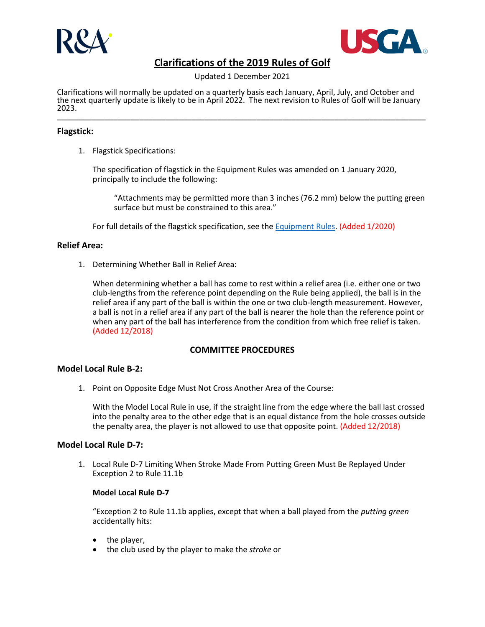



Updated 1 December 2021

Clarifications will normally be updated on a quarterly basis each January, April, July, and October and the next quarterly update is likely to be in April 2022. The next revision to Rules of Golf will be January<br>2023. 2023. \_\_\_\_\_\_\_\_\_\_\_\_\_\_\_\_\_\_\_\_\_\_\_\_\_\_\_\_\_\_\_\_\_\_\_\_\_\_\_\_\_\_\_\_\_\_\_\_\_\_\_\_\_\_\_\_\_\_\_\_\_\_\_\_\_\_\_\_\_\_\_\_\_\_\_\_\_\_\_\_\_\_\_\_\_

## **Flagstick:**

1. Flagstick Specifications:

The specification of flagstick in the Equipment Rules was amended on 1 January 2020, principally to include the following:

"Attachments may be permitted more than 3 inches (76.2 mm) below the putting green surface but must be constrained to this area."

For full details of the flagstick specification, see th[e Equipment Rules.](https://www.randa.org/en/rules-of-equipment/2019/rules/equipment-rules/part-8-committee-equipment-requirements#the-flagstick) (Added 1/2020)

## **Relief Area:**

1. Determining Whether Ball in Relief Area:

When determining whether a ball has come to rest within a relief area (i.e. either one or two club-lengths from the reference point depending on the Rule being applied), the ball is in the relief area if any part of the ball is within the one or two club-length measurement. However, a ball is not in a relief area if any part of the ball is nearer the hole than the reference point or when any part of the ball has interference from the condition from which free relief is taken. (Added 12/2018)

## **COMMITTEE PROCEDURES**

#### **Model Local Rule B-2:**

1. Point on Opposite Edge Must Not Cross Another Area of the Course:

With the Model Local Rule in use, if the straight line from the edge where the ball last crossed into the penalty area to the other edge that is an equal distance from the hole crosses outside the penalty area, the player is not allowed to use that opposite point. (Added 12/2018)

#### **Model Local Rule D-7:**

1. Local Rule D-7 Limiting When Stroke Made From Putting Green Must Be Replayed Under Exception 2 to Rule 11.1b

### **Model Local Rule D-7**

"Exception 2 to Rule 11.1b applies, except that when a ball played from the *putting green* accidentally hits:

- the player,
- the club used by the player to make the *stroke* or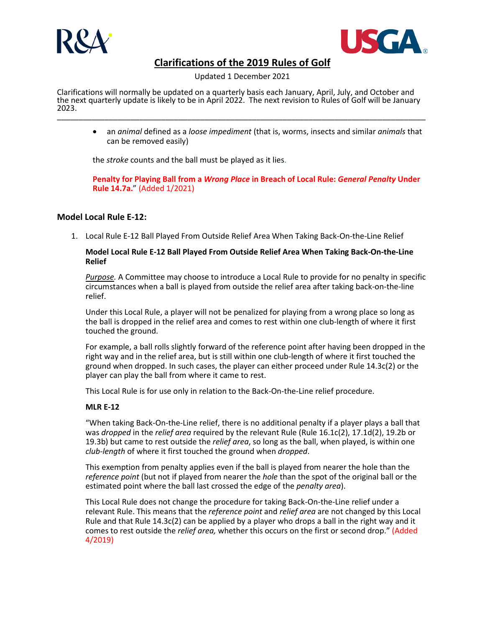



Updated 1 December 2021

Clarifications will normally be updated on a quarterly basis each January, April, July, and October and the next quarterly update is likely to be in April 2022. The next revision to Rules of Golf will be January<br>2023. 2023. \_\_\_\_\_\_\_\_\_\_\_\_\_\_\_\_\_\_\_\_\_\_\_\_\_\_\_\_\_\_\_\_\_\_\_\_\_\_\_\_\_\_\_\_\_\_\_\_\_\_\_\_\_\_\_\_\_\_\_\_\_\_\_\_\_\_\_\_\_\_\_\_\_\_\_\_\_\_\_\_\_\_\_\_\_

• an *animal* defined as a *loose impediment* (that is, worms, insects and similar *animals* that can be removed easily)

the *stroke* counts and the ball must be played as it lies.

**Penalty for Playing Ball from a** *Wrong Place* **in Breach of Local Rule:** *General Penalty* **Under Rule 14.7a.**" (Added 1/2021)

## **Model Local Rule E-12:**

1. Local Rule E-12 Ball Played From Outside Relief Area When Taking Back-On-the-Line Relief

### **Model Local Rule E-12 Ball Played From Outside Relief Area When Taking Back-On-the-Line Relief**

*Purpose.* A Committee may choose to introduce a Local Rule to provide for no penalty in specific circumstances when a ball is played from outside the relief area after taking back-on-the-line relief.

Under this Local Rule, a player will not be penalized for playing from a wrong place so long as the ball is dropped in the relief area and comes to rest within one club-length of where it first touched the ground.

For example, a ball rolls slightly forward of the reference point after having been dropped in the right way and in the relief area, but is still within one club-length of where it first touched the ground when dropped. In such cases, the player can either proceed under Rule 14.3c(2) or the player can play the ball from where it came to rest.

This Local Rule is for use only in relation to the Back-On-the-Line relief procedure.

## **MLR E-12**

"When taking Back-On-the-Line relief, there is no additional penalty if a player plays a ball that was *dropped* in the *relief area* required by the relevant Rule (Rule 16.1c(2), 17.1d(2), 19.2b or 19.3b) but came to rest outside the *relief area*, so long as the ball, when played, is within one *club-length* of where it first touched the ground when *dropped*.

This exemption from penalty applies even if the ball is played from nearer the hole than the *reference point* (but not if played from nearer the *hole* than the spot of the original ball or the estimated point where the ball last crossed the edge of the *penalty area*).

This Local Rule does not change the procedure for taking Back-On-the-Line relief under a relevant Rule. This means that the *reference point* and *relief area* are not changed by this Local Rule and that Rule 14.3c(2) can be applied by a player who drops a ball in the right way and it comes to rest outside the *relief area,* whether this occurs on the first or second drop." (Added 4/2019)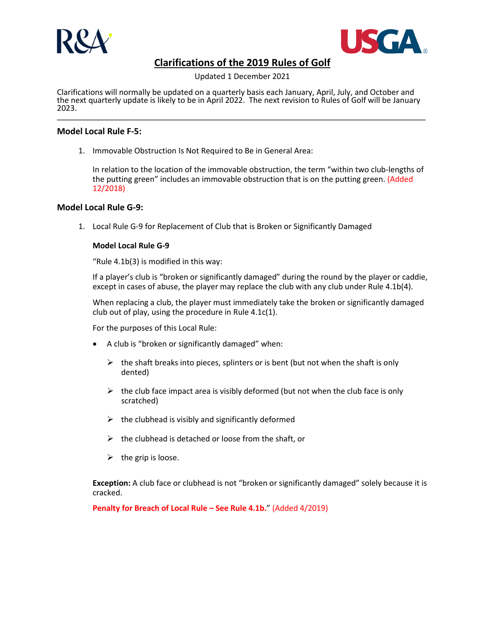



Updated 1 December 2021

Clarifications will normally be updated on a quarterly basis each January, April, July, and October and the next quarterly update is likely to be in April 2022. The next revision to Rules of Golf will be January<br>2023. 2023. \_\_\_\_\_\_\_\_\_\_\_\_\_\_\_\_\_\_\_\_\_\_\_\_\_\_\_\_\_\_\_\_\_\_\_\_\_\_\_\_\_\_\_\_\_\_\_\_\_\_\_\_\_\_\_\_\_\_\_\_\_\_\_\_\_\_\_\_\_\_\_\_\_\_\_\_\_\_\_\_\_\_\_\_\_

## **Model Local Rule F-5:**

1. Immovable Obstruction Is Not Required to Be in General Area:

In relation to the location of the immovable obstruction, the term "within two club-lengths of the putting green" includes an immovable obstruction that is on the putting green. (Added 12/2018)

## **Model Local Rule G-9:**

1. Local Rule G-9 for Replacement of Club that is Broken or Significantly Damaged

## **Model Local Rule G-9**

"Rule 4.1b(3) is modified in this way:

If a player's club is "broken or significantly damaged" during the round by the player or caddie, except in cases of abuse, the player may replace the club with any club under Rule 4.1b(4).

When replacing a club, the player must immediately take the broken or significantly damaged club out of play, using the procedure in Rule 4.1c(1).

For the purposes of this Local Rule:

- A club is "broken or significantly damaged" when:
	- $\triangleright$  the shaft breaks into pieces, splinters or is bent (but not when the shaft is only dented)
	- $\triangleright$  the club face impact area is visibly deformed (but not when the club face is only scratched)
	- $\triangleright$  the clubhead is visibly and significantly deformed
	- $\triangleright$  the clubhead is detached or loose from the shaft, or
	- $\triangleright$  the grip is loose.

**Exception:** A club face or clubhead is not "broken or significantly damaged" solely because it is cracked.

**Penalty for Breach of Local Rule – See Rule 4.1b.**" (Added 4/2019)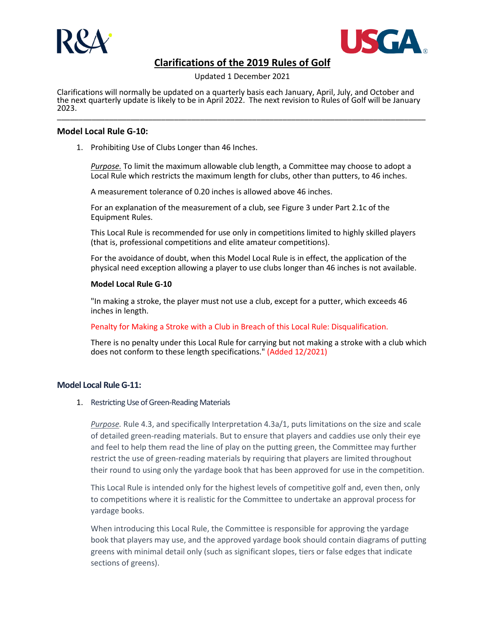



Updated 1 December 2021

Clarifications will normally be updated on a quarterly basis each January, April, July, and October and the next quarterly update is likely to be in April 2022. The next revision to Rules of Golf will be January<br>2023. 2023. \_\_\_\_\_\_\_\_\_\_\_\_\_\_\_\_\_\_\_\_\_\_\_\_\_\_\_\_\_\_\_\_\_\_\_\_\_\_\_\_\_\_\_\_\_\_\_\_\_\_\_\_\_\_\_\_\_\_\_\_\_\_\_\_\_\_\_\_\_\_\_\_\_\_\_\_\_\_\_\_\_\_\_\_\_

### **Model Local Rule G-10:**

1. Prohibiting Use of Clubs Longer than 46 Inches.

*Purpose.* To limit the maximum allowable club length, a Committee may choose to adopt a Local Rule which restricts the maximum length for clubs, other than putters, to 46 inches.

A measurement tolerance of 0.20 inches is allowed above 46 inches.

For an explanation of the measurement of a club, see Figure 3 under Part 2.1c of the Equipment Rules.

This Local Rule is recommended for use only in competitions limited to highly skilled players (that is, professional competitions and elite amateur competitions).

For the avoidance of doubt, when this Model Local Rule is in effect, the application of the physical need exception allowing a player to use clubs longer than 46 inches is not available.

#### **Model Local Rule G-10**

"In making a stroke, the player must not use a club, except for a putter, which exceeds 46 inches in length.

Penalty for Making a Stroke with a Club in Breach of this Local Rule: Disqualification.

There is no penalty under this Local Rule for carrying but not making a stroke with a club which does not conform to these length specifications." (Added 12/2021)

## **Model Local Rule G-11:**

1. Restricting Use of Green-Reading Materials

*Purpose.* Rule 4.3, and specifically Interpretation 4.3a/1, puts limitations on the size and scale of detailed green-reading materials. But to ensure that players and caddies use only their eye and feel to help them read the line of play on the putting green, the Committee may further restrict the use of green-reading materials by requiring that players are limited throughout their round to using only the yardage book that has been approved for use in the competition.

This Local Rule is intended only for the highest levels of competitive golf and, even then, only to competitions where it is realistic for the Committee to undertake an approval process for yardage books.

When introducing this Local Rule, the Committee is responsible for approving the yardage book that players may use, and the approved yardage book should contain diagrams of putting greens with minimal detail only (such as significant slopes, tiers or false edges that indicate sections of greens).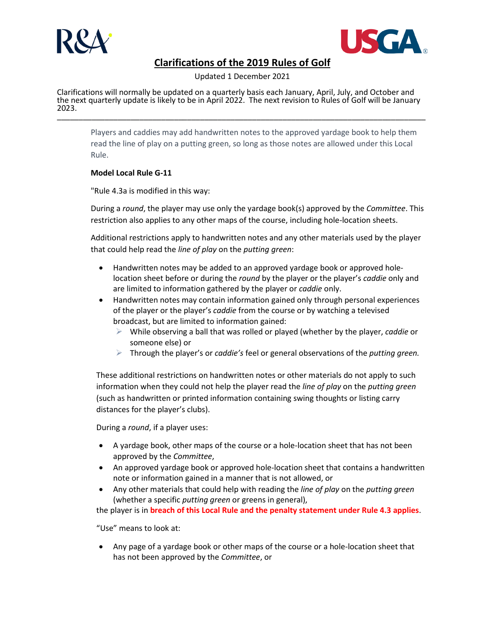



Updated 1 December 2021

Clarifications will normally be updated on a quarterly basis each January, April, July, and October and the next quarterly update is likely to be in April 2022. The next revision to Rules of Golf will be January<br>2023. 2023. \_\_\_\_\_\_\_\_\_\_\_\_\_\_\_\_\_\_\_\_\_\_\_\_\_\_\_\_\_\_\_\_\_\_\_\_\_\_\_\_\_\_\_\_\_\_\_\_\_\_\_\_\_\_\_\_\_\_\_\_\_\_\_\_\_\_\_\_\_\_\_\_\_\_\_\_\_\_\_\_\_\_\_\_\_

Players and caddies may add handwritten notes to the approved yardage book to help them read the line of play on a putting green, so long as those notes are allowed under this Local Rule.

## **Model Local Rule G-11**

"Rule 4.3a is modified in this way:

During a *round*, the player may use only the yardage book(s) approved by the *Committee*. This restriction also applies to any other maps of the course, including hole-location sheets.

Additional restrictions apply to handwritten notes and any other materials used by the player that could help read the *line of play* on the *putting green*:

- Handwritten notes may be added to an approved yardage book or approved holelocation sheet before or during the *round* by the player or the player's *caddie* only and are limited to information gathered by the player or *caddie* only.
- Handwritten notes may contain information gained only through personal experiences of the player or the player's *caddie* from the course or by watching a televised broadcast, but are limited to information gained:
	- While observing a ball that was rolled or played (whether by the player, *caddie* or someone else) or
	- Through the player's or *caddie's* feel or general observations of the *putting green.*

These additional restrictions on handwritten notes or other materials do not apply to such information when they could not help the player read the *line of play* on the *putting green* (such as handwritten or printed information containing swing thoughts or listing carry distances for the player's clubs).

During a *round*, if a player uses:

- A yardage book, other maps of the course or a hole-location sheet that has not been approved by the *Committee*,
- An approved yardage book or approved hole-location sheet that contains a handwritten note or information gained in a manner that is not allowed, or
- Any other materials that could help with reading the *line of play* on the *putting green* (whether a specific *putting green* or greens in general),

the player is in **breach of this Local Rule and the penalty statement under Rule 4.3 applies**.

"Use" means to look at:

• Any page of a yardage book or other maps of the course or a hole-location sheet that has not been approved by the *Committee*, or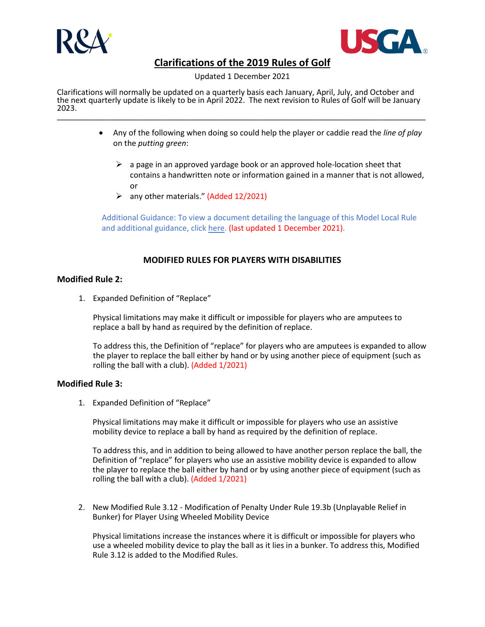



Updated 1 December 2021

Clarifications will normally be updated on a quarterly basis each January, April, July, and October and the next quarterly update is likely to be in April 2022. The next revision to Rules of Golf will be January<br>2023. 2023. \_\_\_\_\_\_\_\_\_\_\_\_\_\_\_\_\_\_\_\_\_\_\_\_\_\_\_\_\_\_\_\_\_\_\_\_\_\_\_\_\_\_\_\_\_\_\_\_\_\_\_\_\_\_\_\_\_\_\_\_\_\_\_\_\_\_\_\_\_\_\_\_\_\_\_\_\_\_\_\_\_\_\_\_\_

- Any of the following when doing so could help the player or caddie read the *line of play* on the *putting green*:
	- $\triangleright$  a page in an approved yardage book or an approved hole-location sheet that contains a handwritten note or information gained in a manner that is not allowed, or
	- $\triangleright$  any other materials." (Added 12/2021)

Additional Guidance: To view a document detailing the language of this Model Local Rule and additional guidance, click [here.](https://www.randa.org/%7E/media/files/Green-Reading-Materials-Update-Dec-2021/MLR-G-11-and-Additional-Guidance---FINAL-v3.ashx) (last updated 1 December 2021).

## **MODIFIED RULES FOR PLAYERS WITH DISABILITIES**

## **Modified Rule 2:**

1. Expanded Definition of "Replace"

Physical limitations may make it difficult or impossible for players who are amputees to replace a ball by hand as required by the definition of replace.

To address this, the Definition of "replace" for players who are amputees is expanded to allow the player to replace the ball either by hand or by using another piece of equipment (such as rolling the ball with a club). (Added 1/2021)

#### **Modified Rule 3:**

1. Expanded Definition of "Replace"

Physical limitations may make it difficult or impossible for players who use an assistive mobility device to replace a ball by hand as required by the definition of replace.

To address this, and in addition to being allowed to have another person replace the ball, the Definition of "replace" for players who use an assistive mobility device is expanded to allow the player to replace the ball either by hand or by using another piece of equipment (such as rolling the ball with a club). (Added 1/2021)

2. New Modified Rule 3.12 - Modification of Penalty Under Rule 19.3b (Unplayable Relief in Bunker) for Player Using Wheeled Mobility Device

Physical limitations increase the instances where it is difficult or impossible for players who use a wheeled mobility device to play the ball as it lies in a bunker. To address this, Modified Rule 3.12 is added to the Modified Rules.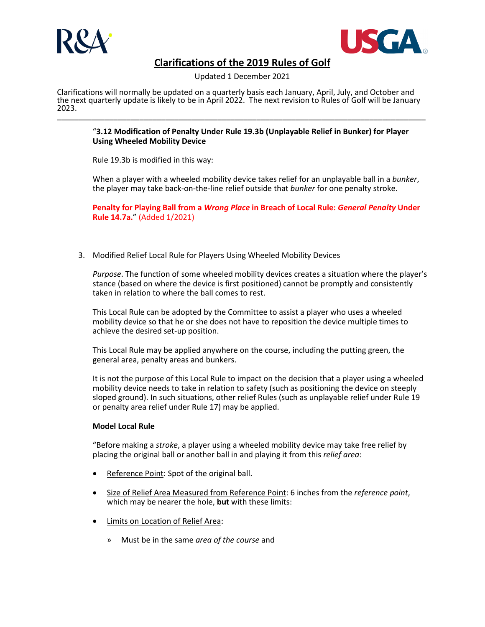



Updated 1 December 2021

Clarifications will normally be updated on a quarterly basis each January, April, July, and October and the next quarterly update is likely to be in April 2022. The next revision to Rules of Golf will be January<br>2023. 2023. \_\_\_\_\_\_\_\_\_\_\_\_\_\_\_\_\_\_\_\_\_\_\_\_\_\_\_\_\_\_\_\_\_\_\_\_\_\_\_\_\_\_\_\_\_\_\_\_\_\_\_\_\_\_\_\_\_\_\_\_\_\_\_\_\_\_\_\_\_\_\_\_\_\_\_\_\_\_\_\_\_\_\_\_\_

## "**3.12 Modification of Penalty Under Rule 19.3b (Unplayable Relief in Bunker) for Player Using Wheeled Mobility Device**

Rule 19.3b is modified in this way:

When a player with a wheeled mobility device takes relief for an unplayable ball in a *bunker*, the player may take back-on-the-line relief outside that *bunker* for one penalty stroke.

**Penalty for Playing Ball from a** *Wrong Place* **in Breach of Local Rule:** *General Penalty* **Under Rule 14.7a.**" (Added 1/2021)

3. Modified Relief Local Rule for Players Using Wheeled Mobility Devices

*Purpose*. The function of some wheeled mobility devices creates a situation where the player's stance (based on where the device is first positioned) cannot be promptly and consistently taken in relation to where the ball comes to rest.

This Local Rule can be adopted by the Committee to assist a player who uses a wheeled mobility device so that he or she does not have to reposition the device multiple times to achieve the desired set-up position.

This Local Rule may be applied anywhere on the course, including the putting green, the general area, penalty areas and bunkers.

It is not the purpose of this Local Rule to impact on the decision that a player using a wheeled mobility device needs to take in relation to safety (such as positioning the device on steeply sloped ground). In such situations, other relief Rules (such as unplayable relief under Rule 19 or penalty area relief under Rule 17) may be applied.

## **Model Local Rule**

"Before making a *stroke*, a player using a wheeled mobility device may take free relief by placing the original ball or another ball in and playing it from this *relief area*:

- Reference Point: Spot of the original ball.
- Size of Relief Area Measured from Reference Point: 6 inches from the *reference point*, which may be nearer the hole, **but** with these limits:
- Limits on Location of Relief Area:
	- » Must be in the same *area of the course* and